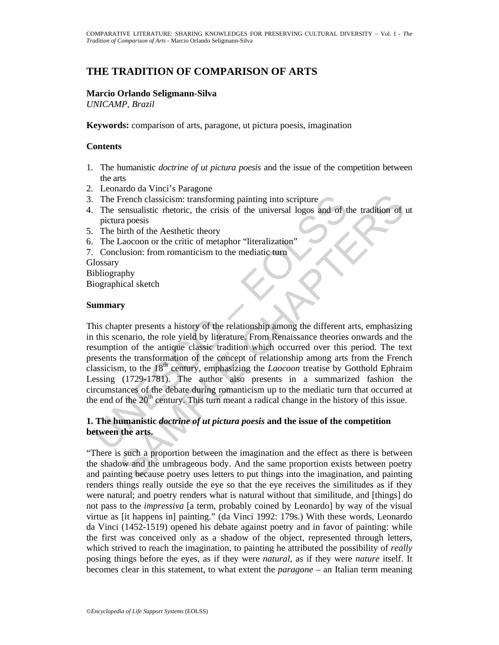# **THE TRADITION OF COMPARISON OF ARTS**

### **Marcio Orlando Seligmann-Silva**

*UNICAMP, Brazil*

**Keywords:** comparison of arts, paragone, ut pictura poesis, imagination

### **Contents**

- 1. The humanistic *doctrine of ut pictura poesis* and the issue of the competition between the arts
- 2. Leonardo da Vinci's Paragone
- 3. The French classicism: transforming painting into scripture
- 4. The sensualistic rhetoric, the crisis of the universal logos and of the tradition of ut pictura poesis
- 5. The birth of the Aesthetic theory
- 6. The Laocoon or the critic of metaphor "literalization"
- 7. Conclusion: from romanticism to the mediatic turn

**Glossary** 

Bibliography Biographical sketch

### **Summary**

The French classicism: transforming painting into scripture<br>
The sensualistic rhetoric, the crisis of the universal logos and of the<br>
picture poesis<br>
The birth of the Aesthetic theory<br>
The Laocoon or the critic of metapho French classicism: transforming painting into scripture<br>
sensualistic metoric, the crisis of the universal logos and of the tradition of<br>
ra poesis<br>
ra poesis<br>
ration of the Aesthetic theory<br>
ration: from romanticism to t This chapter presents a history of the relationship among the different arts, emphasizing in this scenario, the role yield by literature. From Renaissance theories onwards and the resumption of the antique classic tradition which occurred over this period. The text presents the transformation of the concept of relationship among arts from the French classicism, to the 18th century, emphasizing the *Laocoon* treatise by Gotthold Ephraim Lessing (1729-1781). The author also presents in a summarized fashion the circumstances of the debate during romanticism up to the mediatic turn that occurred at the end of the  $20<sup>th</sup>$  century. This turn meant a radical change in the history of this issue.

# **1. The humanistic** *doctrine of ut pictura poesis* **and the issue of the competition between the arts.**

"There is such a proportion between the imagination and the effect as there is between the shadow and the umbrageous body. And the same proportion exists between poetry and painting because poetry uses letters to put things into the imagination, and painting renders things really outside the eye so that the eye receives the similitudes as if they were natural; and poetry renders what is natural without that similitude, and [things] do not pass to the *impressiva* [a term, probably coined by Leonardo] by way of the visual virtue as [it happens in] painting." (da Vinci 1992: 179s.) With these words, Leonardo da Vinci (1452-1519) opened his debate against poetry and in favor of painting: while the first was conceived only as a shadow of the object, represented through letters, which strived to reach the imagination, to painting he attributed the possibility of *really* posing things before the eyes, as if they were *natural*, as if they were *nature* itself. It becomes clear in this statement, to what extent the *paragone* – an Italian term meaning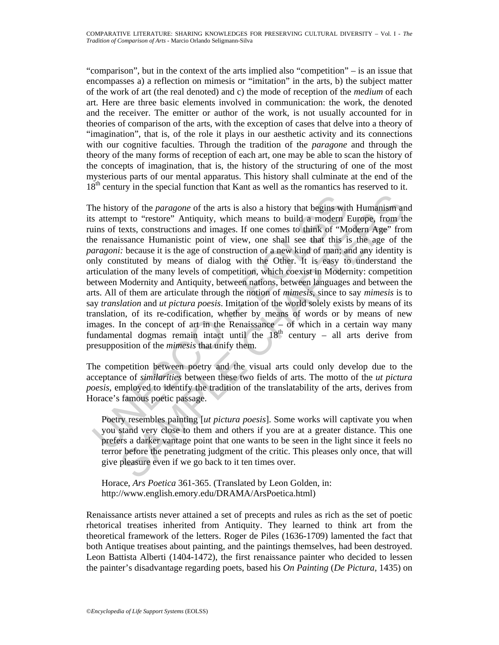"comparison", but in the context of the arts implied also "competition" – is an issue that encompasses a) a reflection on mimesis or "imitation" in the arts, b) the subject matter of the work of art (the real denoted) and c) the mode of reception of the *medium* of each art. Here are three basic elements involved in communication: the work, the denoted and the receiver. The emitter or author of the work, is not usually accounted for in theories of comparison of the arts, with the exception of cases that delve into a theory of "imagination", that is, of the role it plays in our aesthetic activity and its connections with our cognitive faculties. Through the tradition of the *paragone* and through the theory of the many forms of reception of each art, one may be able to scan the history of the concepts of imagination, that is, the history of the structuring of one of the most mysterious parts of our mental apparatus. This history shall culminate at the end of the 18<sup>th</sup> century in the special function that Kant as well as the romantics has reserved to it.

he history of the *paragone* of the arts is also a history that begins wit s attempt to "restore" Antiquity, which means to build a modern I ims of texts, constructions and images. If one comes to think of "Me in ernaissa by of the *paragone* of the arts is also a history that begins with Humanism an<br>pt to "restore" Antiquity, which means to build a modern Europe, from the<br>texts, constructions and images. If one comes to think of "Modern A The history of the *paragone* of the arts is also a history that begins with Humanism and its attempt to "restore" Antiquity, which means to build a modern Europe, from the ruins of texts, constructions and images. If one comes to think of "Modern Age" from the renaissance Humanistic point of view, one shall see that this is the age of the *paragoni:* because it is the age of construction of a new kind of man; and any identity is only constituted by means of dialog with the Other. It is easy to understand the articulation of the many levels of competition, which coexist in Modernity: competition between Modernity and Antiquity, between nations, between languages and between the arts. All of them are articulate through the notion of *mimesis*, since to say *mimesis* is to say *translation* and *ut pictura poesis*. Imitation of the world solely exists by means of its translation, of its re-codification, whether by means of words or by means of new images. In the concept of art in the Renaissance – of which in a certain way many fundamental dogmas remain intact until the  $18<sup>th</sup>$  century – all arts derive from presupposition of the *mimesis* that unify them.

The competition between poetry and the visual arts could only develop due to the acceptance of *similarities* between these two fields of arts. The motto of the *ut pictura poesis*, employed to identify the tradition of the translatability of the arts, derives from Horace's famous poetic passage.

Poetry resembles painting [*ut pictura poesis*]. Some works will captivate you when you stand very close to them and others if you are at a greater distance. This one prefers a darker vantage point that one wants to be seen in the light since it feels no terror before the penetrating judgment of the critic. This pleases only once, that will give pleasure even if we go back to it ten times over.

Horace, *Ars Poetica* 361-365. (Translated by Leon Golden, in: http://www.english.emory.edu/DRAMA/ArsPoetica.html)

Renaissance artists never attained a set of precepts and rules as rich as the set of poetic rhetorical treatises inherited from Antiquity. They learned to think art from the theoretical framework of the letters. Roger de Piles (1636-1709) lamented the fact that both Antique treatises about painting, and the paintings themselves, had been destroyed. Leon Battista Alberti (1404-1472), the first renaissance painter who decided to lessen the painter's disadvantage regarding poets, based his *On Painting* (*De Pictura,* 1435) on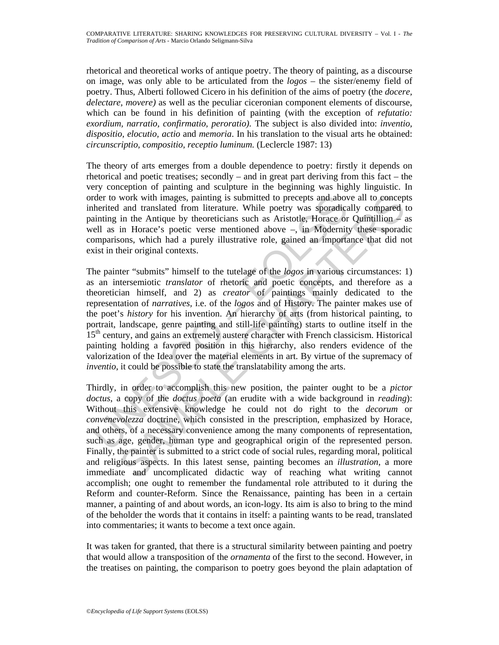rhetorical and theoretical works of antique poetry. The theory of painting, as a discourse on image, was only able to be articulated from the *logos* – the sister/enemy field of poetry. Thus, Alberti followed Cicero in his definition of the aims of poetry (the *docere, delectare, movere)* as well as the peculiar ciceronian component elements of discourse, which can be found in his definition of painting (with the exception of *refutatio: exordium, narratio, confirmatio, peroratio).* The subject is also divided into: *inventio, dispositio, elocutio, actio* and *memoria*. In his translation to the visual arts he obtained: *circunscriptio, compositio, receptio luminum.* (Leclercle 1987: 13)

The theory of arts emerges from a double dependence to poetry: firstly it depends on rhetorical and poetic treatises; secondly – and in great part deriving from this fact – the very conception of painting and sculpture in the beginning was highly linguistic. In order to work with images, painting is submitted to precepts and above all to concepts inherited and translated from literature. While poetry was sporadically compared to painting in the Antique by theoreticians such as Aristotle, Horace or Quintillion – as well as in Horace's poetic verse mentioned above –, in Modernity these sporadic comparisons, which had a purely illustrative role, gained an importance that did not exist in their original contexts.

rder to work with images, painting is submitted to precepts and abouterited and translated from literature. While poetry was sporadice alminiting in the Antique by theoreticians such as Aristotle, Horace or even ell as in work with images, painting is submitted to precepts and above all to concept<br>and translated from literature. While postry was sporadically compared<br>in the Antique by theoreticians such as Aristotle, Horace or Ourintilion<br> The painter "submits" himself to the tutelage of the *logos* in various circumstances: 1) as an intersemiotic *translator* of rhetoric and poetic concepts, and therefore as a theoretician himself, and 2) as *creator* of paintings mainly dedicated to the representation of *narratives,* i.e. of the *logos* and of History. The painter makes use of the poet's *history* for his invention. An hierarchy of arts (from historical painting, to portrait, landscape, genre painting and still-life painting) starts to outline itself in the 15<sup>th</sup> century, and gains an extremely austere character with French classicism. Historical painting holding a favored position in this hierarchy, also renders evidence of the valorization of the Idea over the material elements in art. By virtue of the supremacy of *inventio*, it could be possible to state the translatability among the arts.

Thirdly, in order to accomplish this new position, the painter ought to be a *pictor doctus*, a copy of the *doctus poeta* (an erudite with a wide background in *reading*): Without this extensive knowledge he could not do right to the *decorum* or *convenevolezza* doctrine, which consisted in the prescription, emphasized by Horace, and others, of a necessary convenience among the many components of representation, such as age, gender, human type and geographical origin of the represented person. Finally, the painter is submitted to a strict code of social rules, regarding moral, political and religious aspects. In this latest sense, painting becomes an *illustration*, a more immediate and uncomplicated didactic way of reaching what writing cannot accomplish; one ought to remember the fundamental role attributed to it during the Reform and counter-Reform. Since the Renaissance, painting has been in a certain manner, a painting of and about words, an icon-logy. Its aim is also to bring to the mind of the beholder the words that it contains in itself: a painting wants to be read, translated into commentaries; it wants to become a text once again.

It was taken for granted, that there is a structural similarity between painting and poetry that would allow a transposition of the *ornamenta* of the first to the second. However, in the treatises on painting, the comparison to poetry goes beyond the plain adaptation of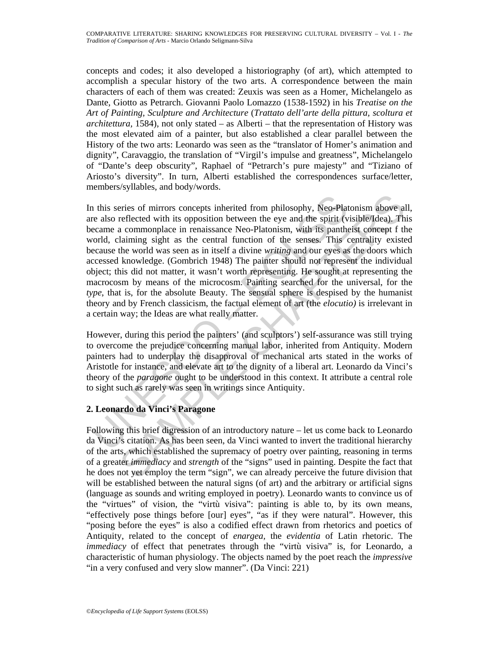concepts and codes; it also developed a historiography (of art), which attempted to accomplish a specular history of the two arts. A correspondence between the main characters of each of them was created: Zeuxis was seen as a Homer, Michelangelo as Dante, Giotto as Petrarch. Giovanni Paolo Lomazzo (1538-1592) in his *Treatise on the Art of Painting, Sculpture and Architecture* (*Trattato dell'arte della pittura, scoltura et architettura,* 1584), not only stated – as Alberti – that the representation of History was the most elevated aim of a painter, but also established a clear parallel between the History of the two arts: Leonardo was seen as the "translator of Homer's animation and dignity", Caravaggio, the translation of "Virgil's impulse and greatness", Michelangelo of "Dante's deep obscurity", Raphael of "Petrarch's pure majesty" and "Tiziano of Ariosto's diversity". In turn, Alberti established the correspondences surface/letter, members/syllables, and body/words.

In this series of mirrors concepts inherited from philosophy, Neo-Plate also reflected with its opposition between the eye and the spirit (vecame a commonplace in renaissance Neo-Platonism, with its pantheorlocal conditio eries of mirrors concepts inherited from philosophy, Neo-Platonism above alreflected with its opposition between the eye and the spirit (visible/Idea). The acommonplace in renaissance Neo-Platonism, with its pantheist conc In this series of mirrors concepts inherited from philosophy, Neo-Platonism above all, are also reflected with its opposition between the eye and the spirit (visible/Idea). This became a commonplace in renaissance Neo-Platonism, with its pantheist concept f the world, claiming sight as the central function of the senses. This centrality existed because the world was seen as in itself a divine *writing* and our eyes as the doors which accessed knowledge. (Gombrich 1948) The painter should not represent the individual object; this did not matter, it wasn't worth representing. He sought at representing the macrocosm by means of the microcosm. Painting searched for the universal, for the *type*, that is, for the absolute Beauty. The sensual sphere is despised by the humanist theory and by French classicism, the factual element of art (the *elocutio)* is irrelevant in a certain way; the Ideas are what really matter.

However, during this period the painters' (and sculptors') self-assurance was still trying to overcome the prejudice concerning manual labor, inherited from Antiquity. Modern painters had to underplay the disapproval of mechanical arts stated in the works of Aristotle for instance, and elevate art to the dignity of a liberal art. Leonardo da Vinci's theory of the *paragone* ought to be understood in this context. It attribute a central role to sight such as rarely was seen in writings since Antiquity.

# **2. Leonardo da Vinci's Paragone**

Following this brief digression of an introductory nature – let us come back to Leonardo da Vinci's citation. As has been seen, da Vinci wanted to invert the traditional hierarchy of the arts, which established the supremacy of poetry over painting, reasoning in terms of a greater *immediacy* and *strength* of the "signs" used in painting. Despite the fact that he does not yet employ the term "sign", we can already perceive the future division that will be established between the natural signs (of art) and the arbitrary or artificial signs (language as sounds and writing employed in poetry)*.* Leonardo wants to convince us of the "virtues" of vision, the "virtù visiva": painting is able to, by its own means, "effectively pose things before [our] eyes", "as if they were natural". However, this "posing before the eyes" is also a codified effect drawn from rhetorics and poetics of Antiquity, related to the concept of *enargea,* the *evidentia* of Latin rhetoric. The *immediacy* of effect that penetrates through the "virtù visiva" is, for Leonardo, a characteristic of human physiology. The objects named by the poet reach the *impressive* "in a very confused and very slow manner". (Da Vinci: 221)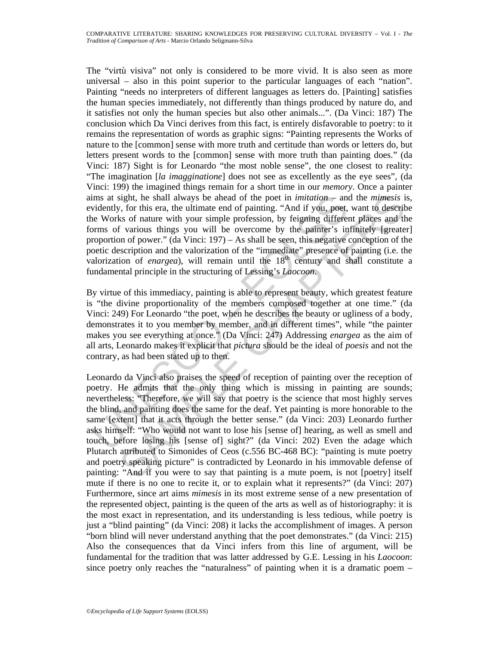ims at sight, he shall always be ahead of the poet in *imitation* – and<br>vidently, for this era, the ultimate end of painting. "And if you, poet,<br>welve Wrs of nature with your simple profession, by feigining different<br>orms The "virtù visiva" not only is considered to be more vivid. It is also seen as more universal – also in this point superior to the particular languages of each "nation". Painting "needs no interpreters of different languages as letters do. [Painting] satisfies the human species immediately, not differently than things produced by nature do, and it satisfies not only the human species but also other animals...". (Da Vinci: 187) The conclusion which Da Vinci derives from this fact, is entirely disfavorable to poetry: to it remains the representation of words as graphic signs: "Painting represents the Works of nature to the [common] sense with more truth and certitude than words or letters do, but letters present words to the [common] sense with more truth than painting does." (da Vinci: 187) Sight is for Leonardo "the most noble sense", the one closest to reality: "The imagination [*la imagginatione*] does not see as excellently as the eye sees", (da Vinci: 199) the imagined things remain for a short time in our *memory*. Once a painter aims at sight, he shall always be ahead of the poet in *imitation* – and the *mimesis* is, evidently, for this era, the ultimate end of painting. "And if you, poet, want to describe the Works of nature with your simple profession, by feigning different places and the forms of various things you will be overcome by the painter's infinitely [greater] proportion of power." (da Vinci: 197) – As shall be seen, this negative conception of the poetic description and the valorization of the "immediate" presence of painting (i.e. the valorization of *enargea*), will remain until the  $18<sup>th</sup>$  century and shall constitute a fundamental principle in the structuring of Lessing's *Laocoon*.

By virtue of this immediacy, painting is able to represent beauty, which greatest feature is "the divine proportionality of the members composed together at one time." (da Vinci: 249) For Leonardo "the poet, when he describes the beauty or ugliness of a body, demonstrates it to you member by member, and in different times", while "the painter makes you see everything at once." (Da Vinci: 247) Addressing *enargea* as the aim of all arts, Leonardo makes it explicit that *pictura* should be the ideal of *poesis* and not the contrary, as had been stated up to then.

sight, he shall always be ahead of the poet in *imitation* – and the *mimesis* is for this era, the ultimate end of painting. "And if you, poet, want to describe fv various things you will be overcome by the painter's inf Leonardo da Vinci also praises the speed of reception of painting over the reception of poetry. He admits that the only thing which is missing in painting are sounds; nevertheless: "Therefore, we will say that poetry is the science that most highly serves the blind, and painting does the same for the deaf. Yet painting is more honorable to the same [extent] that it acts through the better sense." (da Vinci: 203) Leonardo further asks himself: "Who would not want to lose his [sense of] hearing, as well as smell and touch, before losing his [sense of] sight?" (da Vinci: 202) Even the adage which Plutarch attributed to Simonides of Ceos (c.556 BC-468 BC): "painting is mute poetry and poetry speaking picture" is contradicted by Leonardo in his immovable defense of painting: "And if you were to say that painting is a mute poem, is not [poetry] itself mute if there is no one to recite it, or to explain what it represents?" (da Vinci: 207) Furthermore, since art aims *mimesis* in its most extreme sense of a new presentation of the represented object, painting is the queen of the arts as well as of historiography: it is the most exact in representation, and its understanding is less tedious, while poetry is just a "blind painting" (da Vinci: 208) it lacks the accomplishment of images. A person "born blind will never understand anything that the poet demonstrates." (da Vinci: 215) Also the consequences that da Vinci infers from this line of argument, will be fundamental for the tradition that was latter addressed by G.E. Lessing in his *Laocoon*: since poetry only reaches the "naturalness" of painting when it is a dramatic poem –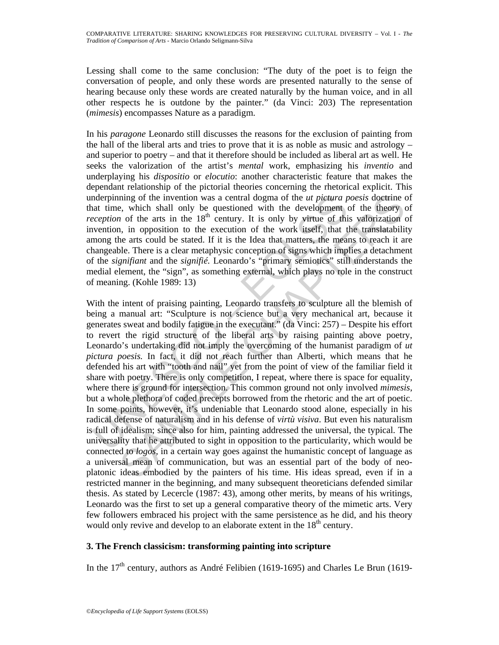Lessing shall come to the same conclusion: "The duty of the poet is to feign the conversation of people, and only these words are presented naturally to the sense of hearing because only these words are created naturally by the human voice, and in all other respects he is outdone by the painter." (da Vinci: 203) The representation (*mimesis*) encompasses Nature as a paradigm.

In his *paragone* Leonardo still discusses the reasons for the exclusion of painting from the hall of the liberal arts and tries to prove that it is as noble as music and astrology  $$ and superior to poetry – and that it therefore should be included as liberal art as well. He seeks the valorization of the artist's *mental* work, emphasizing his *inventio* and underplaying his *dispositio* or *elocutio*: another characteristic feature that makes the dependant relationship of the pictorial theories concerning the rhetorical explicit. This underpinning of the invention was a central dogma of the *ut pictura poesis* doctrine of that time, which shall only be questioned with the development of the theory of *reception* of the arts in the 18<sup>th</sup> century. It is only by virtue of this valorization of invention, in opposition to the execution of the work itself, that the translatability among the arts could be stated. If it is the Idea that matters, the means to reach it are changeable. There is a clear metaphysic conception of signs which implies a detachment of the *signifiant* and the *signifié.* Leonardo's "primary semiotics" still understands the medial element, the "sign", as something external, which plays no role in the construct of meaning. (Kohle 1989: 13)

Indepty of the invention was a central dogma of the *ut pictura* p<br>atat time, which shall only be questioned with the development<br>ceception of the arts in the B<sup>th</sup> centrus. It is only by virtue of thi<br>wention, in opposit ning of the invention was a central dogma of the *ut pictura poesis* doctrine c, which shall only be questioned with the development of the theory c in to fit theory of the interaction of the are are are out in , in oppos With the intent of praising painting, Leonardo transfers to sculpture all the blemish of being a manual art: "Sculpture is not science but a very mechanical art, because it generates sweat and bodily fatigue in the executant." (da Vinci: 257) – Despite his effort to revert the rigid structure of the liberal arts by raising painting above poetry, Leonardo's undertaking did not imply the overcoming of the humanist paradigm of *ut pictura poesis.* In fact, it did not reach further than Alberti, which means that he defended his art with "tooth and nail" yet from the point of view of the familiar field it share with poetry. There is only competition, I repeat, where there is space for equality, where there is ground for intersection. This common ground not only involved *mimesis*, but a whole plethora of coded precepts borrowed from the rhetoric and the art of poetic. In some points, however, it's undeniable that Leonardo stood alone, especially in his radical defense of naturalism and in his defense of *virtù visiva*. But even his naturalism is full of idealism; since also for him, painting addressed the universal, the typical. The universality that he attributed to sight in opposition to the particularity, which would be connected to *logos,* in a certain way goes against the humanistic concept of language as a universal mean of communication, but was an essential part of the body of neoplatonic ideas embodied by the painters of his time. His ideas spread, even if in a restricted manner in the beginning, and many subsequent theoreticians defended similar thesis. As stated by Lecercle (1987: 43), among other merits, by means of his writings, Leonardo was the first to set up a general comparative theory of the mimetic arts. Very few followers embraced his project with the same persistence as he did, and his theory would only revive and develop to an elaborate extent in the  $18<sup>th</sup>$  century.

# **3. The French classicism: transforming painting into scripture**

In the 17<sup>th</sup> century, authors as André Felibien (1619-1695) and Charles Le Brun (1619-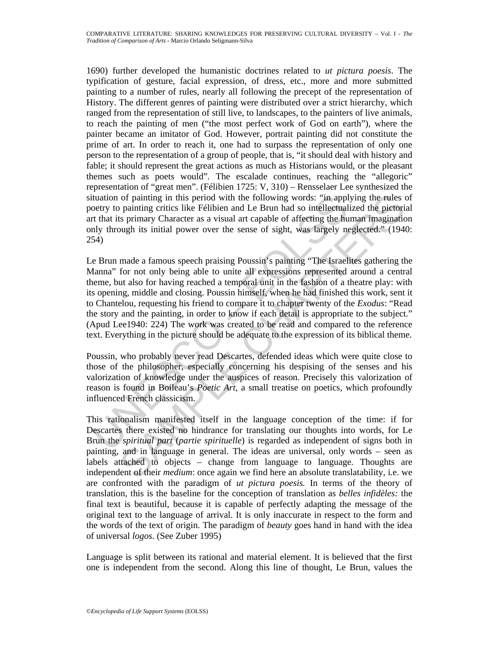1690) further developed the humanistic doctrines related to *ut pictura poesis*. The typification of gesture, facial expression, of dress, etc., more and more submitted painting to a number of rules, nearly all following the precept of the representation of History. The different genres of painting were distributed over a strict hierarchy, which ranged from the representation of still live, to landscapes, to the painters of live animals, to reach the painting of men ("the most perfect work of God on earth"), where the painter became an imitator of God. However, portrait painting did not constitute the prime of art. In order to reach it, one had to surpass the representation of only one person to the representation of a group of people, that is, "it should deal with history and fable; it should represent the great actions as much as Historians would, or the pleasant themes such as poets would". The escalade continues, reaching the "allegoric" representation of "great men". (Félibien 1725: V, 310) – Rensselaer Lee synthesized the situation of painting in this period with the following words: "in applying the rules of poetry to painting critics like Félibien and Le Brun had so intellectualized the pictorial art that its primary Character as a visual art capable of affecting the human imagination only through its initial power over the sense of sight, was largely neglected." (1940: 254)

tuation of painting in this period with the following words: "in appletry to painting critics like Félibien and Le Brun had so intellectual<br>tubut its primary Character as a visual art capable of affecting the hund<br>that it of painting in this period with the following words: "in applying the rules as painting critics like Föllbion and Le Brun had so intellectualized the pictorial, is painting critics its primary Character as a visual art ca Le Brun made a famous speech praising Poussin's painting "The Israelites gathering the Manna" for not only being able to unite all expressions represented around a central theme, but also for having reached a temporal unit in the fashion of a theatre play: with its opening, middle and closing. Poussin himself, when he had finished this work, sent it to Chantelou, requesting his friend to compare it to chapter twenty of the *Exodus*: "Read the story and the painting, in order to know if each detail is appropriate to the subject." (Apud Lee1940: 224) The work was created to be read and compared to the reference text. Everything in the picture should be adequate to the expression of its biblical theme.

Poussin, who probably never read Descartes, defended ideas which were quite close to those of the philosopher, especially concerning his despising of the senses and his valorization of knowledge under the auspices of reason. Precisely this valorization of reason is found in Boileau's *Poetic Art,* a small treatise on poetics, which profoundly influenced French classicism.

This rationalism manifested itself in the language conception of the time: if for Descartes there existed no hindrance for translating our thoughts into words, for Le Brun the *spiritual part* (*partie spirituelle*) is regarded as independent of signs both in painting, and in language in general. The ideas are universal, only words – seen as labels attached to objects – change from language to language. Thoughts are independent of their *medium*: once again we find here an absolute translatability, i*.*e. we are confronted with the paradigm of *ut pictura poesis.* In terms of the theory of translation, this is the baseline for the conception of translation as *belles infidèles:* the final text is beautiful, because it is capable of perfectly adapting the message of the original text to the language of arrival. It is only inaccurate in respect to the form and the words of the text of origin. The paradigm of *beauty* goes hand in hand with the idea of universal *logos.* (See Zuber 1995)

Language is split between its rational and material element. It is believed that the first one is independent from the second. Along this line of thought, Le Brun, values the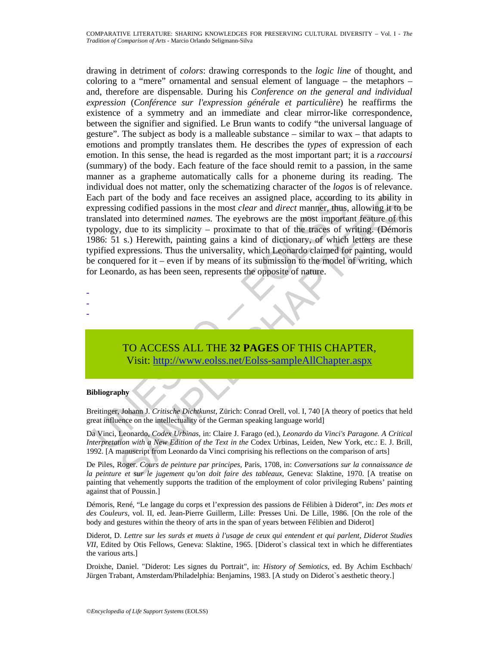ach part of the body and face receives an assigned place, according<br>typessing codified passions in the most *clear* and *direct* manner, thus,<br>anslated into determined *names*. The eyebrows are the most important<br>pology, d t of the body and face receives an assigned place, according to its ability in go colified passions in the most *clear* and *direct* manner, thus, allowing it to by the turn and the turn and the chaptame (thus, allowing it drawing in detriment of *colors*: drawing corresponds to the *logic line* of thought, and coloring to a "mere" ornamental and sensual element of language – the metaphors – and, therefore are dispensable. During his *Conference on the general and individual expression* (*Conférence sur l'expression générale et particulière*) he reaffirms the existence of a symmetry and an immediate and clear mirror-like correspondence, between the signifier and signified. Le Brun wants to codify "the universal language of gesture". The subject as body is a malleable substance – similar to wax – that adapts to emotions and promptly translates them. He describes the *types* of expression of each emotion. In this sense, the head is regarded as the most important part; it is a *raccoursi* (summary) of the body. Each feature of the face should remit to a passion, in the same manner as a grapheme automatically calls for a phoneme during its reading. The individual does not matter, only the schematizing character of the *logos* is of relevance. Each part of the body and face receives an assigned place, according to its ability in expressing codified passions in the most *clear* and *direct* manner, thus, allowing it to be translated into determined *names.* The eyebrows are the most important feature of this typology, due to its simplicity – proximate to that of the traces of writing. (Démoris 1986: 51 s.) Herewith, painting gains a kind of dictionary, of which letters are these typified expressions. Thus the universality, which Leonardo claimed for painting, would be conquered for it – even if by means of its submission to the model of writing, which for Leonardo, as has been seen, represents the opposite of nature.

TO ACCESS ALL THE **32 PAGES** OF THIS CHAPTER, Visit: http://www.eolss.net/Eolss-sampleAllChapter.aspx

#### **Bibliography**

- - -

Breitinger, Johann J. *Critische Dichtkunst*, Zürich: Conrad Orell, vol. I, 740 [A theory of poetics that held great influence on the intellectuality of the German speaking language world]

Da Vinci, Leonardo, *Codex Urbinas*, in: Claire J. Farago (ed.), *Leonardo da Vinci's Paragone. A Critical Interpretation with a New Edition of the Text in the* Codex Urbinas, Leiden, New York, etc.: E. J. Brill, 1992. [A manuscript from Leonardo da Vinci comprising his reflections on the comparison of arts]

De Piles, Roger. *Cours de peinture par principes*, Paris, 1708, in: *Conversations sur la connaissance de la peinture et sur le jugement qu'on doit faire des tableaux*, Geneva: Slaktine, 1970. [A treatise on painting that vehemently supports the tradition of the employment of color privileging Rubens' painting against that of Poussin.]

Démoris, René, "Le langage du corps et l'expression des passions de Félibien à Diderot", in: *Des mots et des Couleurs*, vol. II, ed. Jean-Pierre Guillerm, Lille: Presses Uni. De Lille, 1986. [On the role of the body and gestures within the theory of arts in the span of years between Félibien and Diderot]

Diderot, D. *Lettre sur les surds et muets à l'usage de ceux qui entendent et qui parlent, Diderot Studies VII*, Edited by Otis Fellows, Geneva: Slaktine, 1965. [Diderot's classical text in which he differentiates the various arts.]

Droixhe, Daniel. "Diderot: Les signes du Portrait", in: *History of Semiotics*, ed. By Achim Eschbach/ Jürgen Trabant, Amsterdam/Philadelphia: Benjamins, 1983. [A study on Diderot`s aesthetic theory.]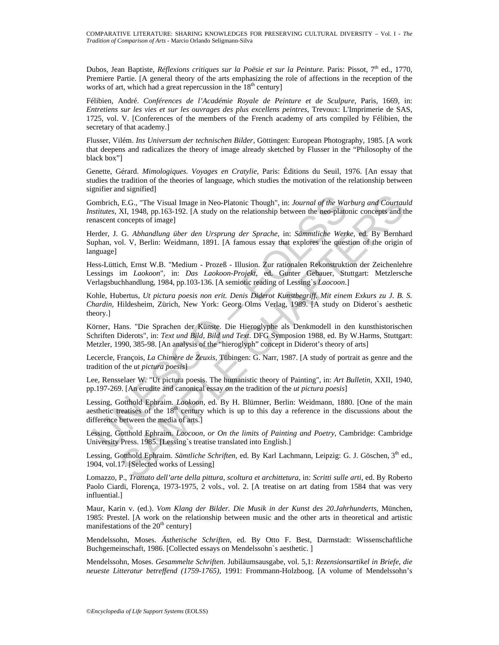Dubos, Jean Baptiste, *Réflexions critiques sur la Poësie et sur la Peinture*. Paris: Pissot, 7<sup>th</sup> ed., 1770, Premiere Partie. [A general theory of the arts emphasizing the role of affections in the reception of the works of art, which had a great repercussion in the 18<sup>th</sup> century]

Félibien, André. *Conférences de l'Académie Royale de Peinture et de Sculpure*, Paris, 1669, in: *Entretiens sur les vies et sur les ouvrages des plus excellens peintres*, Trevoux: L'Imprimerie de SAS, 1725, vol. V. [Conferences of the members of the French academy of arts compiled by Félibien, the secretary of that academy.]

Flusser, Vilém. *Ins Universum der technischen Bilder*, Göttingen: European Photography, 1985. [A work that deepens and radicalizes the theory of image already sketched by Flusser in the "Philosophy of the black box"]

Genette, Gérard. *Mimologiques. Voyages en Cratylie*, Paris: Éditions du Seuil, 1976. [An essay that studies the tradition of the theories of language, which studies the motivation of the relationship between signifier and signified]

ombrich, E.G., "The Visual Image in Neo-Platonic Though", in: *Journal of the Wastintes*, XI, 1948, pp.163-192. [A study on the relationship between the neo-platonscent concepts of image]<br>mascent concepts of image]<br>mascent E.G., "The Visual Image in Neo-Platonic Though", in: *Journal of the Warburg and CourtauxI*. 1948, pp.163-192. [A study on the relationship between the neo-platonic concepts and the CHAP of the MCHAP of the Platonic conce Gombrich, E.G., "The Visual Image in Neo-Platonic Though", in: *Journal of the Warburg and Courtauld Institutes*, XI, 1948, pp.163-192. [A study on the relationship between the neo-platonic concepts and the renascent concepts of image]

Herder, J. G. *Abhandlung über den Ursprung der Sprache,* in: *Sämmtliche Werke,* ed. By Bernhard Suphan, vol. V, Berlin: Weidmann, 1891. [A famous essay that explores the question of the origin of language]

Hess-Lüttich, Ernst W.B. "Medium - Prozeß - Illusion. Zur rationalen Rekonstruktion der Zeichenlehre Lessings im *Laokoon*", in: *Das Laokoon-Projekt*, ed. Gunter Gebauer, Stuttgart: Metzlersche Verlagsbuchhandlung, 1984, pp.103-136. [A semiotic reading of Lessing`s *Laocoon*.]

Kohle, Hubertus, *Ut pictura poesis non erit. Denis Diderot Kunstbegriff. Mit einem Exkurs zu J. B. S. Chardin*, Hildesheim, Zürich, New York: Georg Olms Verlag, 1989. [A study on Diderot`s aesthetic theory.]

Körner, Hans. "Die Sprachen der Künste. Die Hieroglyphe als Denkmodell in den kunsthistorischen Schriften Diderots", in: *Text und Bild, Bild und Text*. DFG Symposion 1988, ed. By W.Harms, Stuttgart: Metzler, 1990, 385-98. [An analysis of the "hieroglyph" concept in Diderot's theory of arts]

Lecercle, François, *La Chimère de Zeuxis*, Tübingen: G. Narr, 1987. [A study of portrait as genre and the tradition of the *ut pictura poesis*]

Lee, Rensselaer W. "Ut pictura poesis. The humanistic theory of Painting", in: *Art Bulletin*, XXII, 1940, pp.197-269. [An erudite and canonical essay on the tradition of the *ut pictura poesis*]

Lessing, Gotthold Ephraim. *Laokoon*, ed. By H. Blümner, Berlin: Weidmann, 1880. [One of the main aesthetic treatises of the  $18<sup>th</sup>$  century which is up to this day a reference in the discussions about the difference between the media of arts.]

Lessing, Gotthold Ephraim. *Laocoon, or On the limits of Painting and Poetry*, Cambridge: Cambridge University Press. 1985. [Lessing`s treatise translated into English.]

Lessing, Gotthold Ephraim. Sämtliche Schriften, ed. By Karl Lachmann, Leipzig: G. J. Göschen, 3<sup>th</sup> ed., 1904, vol.17. [Selected works of Lessing]

Lomazzo, P., *Trattato dell'arte della pittura, scoltura et archittetura*, in: *Scritti sulle arti*, ed. By Roberto Paolo Ciardi, Florença, 1973-1975, 2 vols., vol. 2. [A treatise on art dating from 1584 that was very influential.]

Maur, Karin v. (ed.). *Vom Klang der Bilder. Die Musik in der Kunst des 20.Jahrhunderts*, München, 1985: Prestel. [A work on the relationship between music and the other arts in theoretical and artistic manifestations of the  $20<sup>th</sup>$  century]

Mendelssohn, Moses. *Ästhetische Schriften*, ed. By Otto F. Best, Darmstadt: Wissenschaftliche Buchgemeinschaft, 1986. [Collected essays on Mendelssohn`s aesthetic. ]

Mendelssohn, Moses. *Gesammelte Schriften*. Jubiläumsausgabe, vol. 5,1: *Rezensionsartikel in Briefe, die neueste Litteratur betreffend (1759-1765)*, 1991: Frommann-Holzboog. [A volume of Mendelssohn's